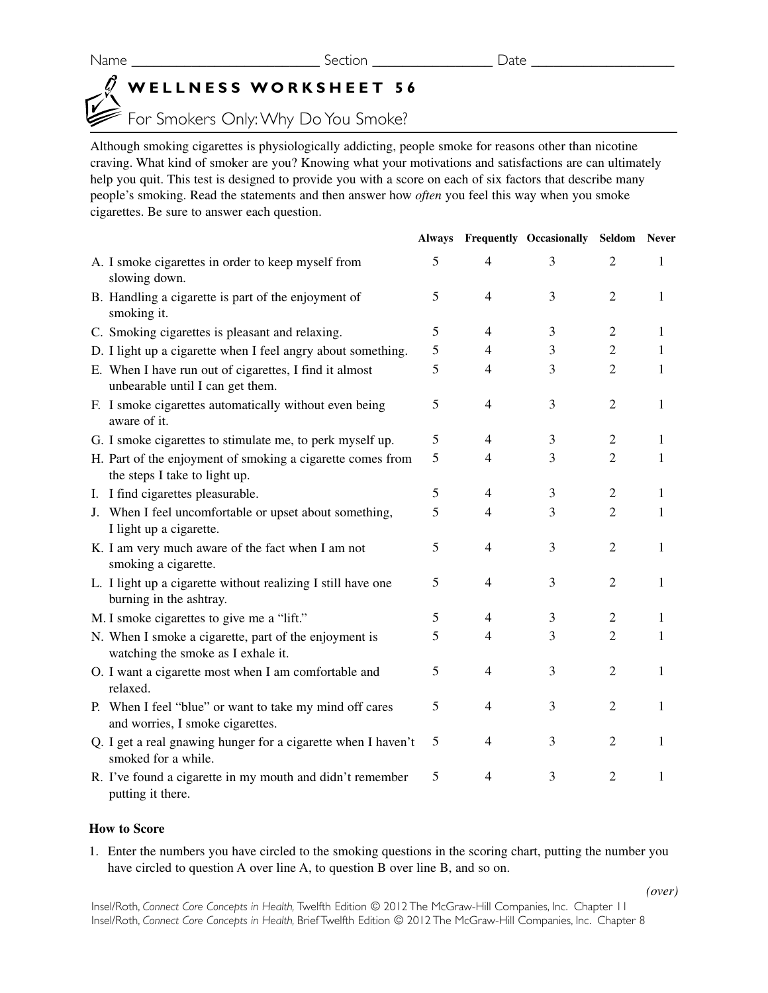# **WELLNESS WORKSHEET 56**

# For Smokers Only:Why Do You Smoke?

Although smoking cigarettes is physiologically addicting, people smoke for reasons other than nicotine craving. What kind of smoker are you? Knowing what your motivations and satisfactions are can ultimately help you quit. This test is designed to provide you with a score on each of six factors that describe many people's smoking. Read the statements and then answer how *often* you feel this way when you smoke cigarettes. Be sure to answer each question.

|                                                                                             |   |                | <b>Always Frequently Occasionally</b> | Seldom Never   |              |
|---------------------------------------------------------------------------------------------|---|----------------|---------------------------------------|----------------|--------------|
| A. I smoke cigarettes in order to keep myself from<br>slowing down.                         | 5 | $\overline{4}$ | 3                                     | 2              | 1            |
| B. Handling a cigarette is part of the enjoyment of<br>smoking it.                          | 5 | $\overline{4}$ | 3                                     | $\overline{2}$ | 1            |
| C. Smoking cigarettes is pleasant and relaxing.                                             | 5 | $\overline{4}$ | 3                                     | $\overline{2}$ | 1            |
| D. I light up a cigarette when I feel angry about something.                                | 5 | 4              | 3                                     | $\overline{2}$ | 1            |
| E. When I have run out of cigarettes, I find it almost<br>unbearable until I can get them.  | 5 | $\overline{4}$ | 3                                     | $\overline{2}$ | 1            |
| F. I smoke cigarettes automatically without even being<br>aware of it.                      | 5 | $\overline{4}$ | 3                                     | 2              | 1            |
| G. I smoke cigarettes to stimulate me, to perk myself up.                                   | 5 | $\overline{4}$ | 3                                     | $\overline{2}$ | 1            |
| H. Part of the enjoyment of smoking a cigarette comes from<br>the steps I take to light up. | 5 | $\overline{4}$ | 3                                     | $\overline{2}$ | $\mathbf{1}$ |
| I. I find cigarettes pleasurable.                                                           | 5 | $\overline{4}$ | 3                                     | $\overline{2}$ | 1            |
| J. When I feel uncomfortable or upset about something,<br>I light up a cigarette.           | 5 | $\overline{4}$ | 3                                     | $\overline{2}$ | 1            |
| K. I am very much aware of the fact when I am not<br>smoking a cigarette.                   | 5 | $\overline{4}$ | 3                                     | 2              | 1            |
| L. I light up a cigarette without realizing I still have one<br>burning in the ashtray.     | 5 | $\overline{4}$ | 3                                     | 2              | 1            |
| M. I smoke cigarettes to give me a "lift."                                                  | 5 | $\overline{4}$ | 3                                     | $\overline{2}$ | 1            |
| N. When I smoke a cigarette, part of the enjoyment is<br>watching the smoke as I exhale it. | 5 | $\overline{4}$ | 3                                     | 2              | 1            |
| O. I want a cigarette most when I am comfortable and<br>relaxed.                            | 5 | $\overline{4}$ | 3                                     | $\overline{2}$ | 1            |
| P. When I feel "blue" or want to take my mind off cares<br>and worries, I smoke cigarettes. | 5 | $\overline{4}$ | 3                                     | $\overline{2}$ | 1            |
| Q. I get a real gnawing hunger for a cigarette when I haven't<br>smoked for a while.        | 5 | $\overline{4}$ | 3                                     | 2              | 1            |
| R. I've found a cigarette in my mouth and didn't remember<br>putting it there.              | 5 | $\overline{4}$ | 3                                     | $\overline{2}$ | 1            |

## **How to Score**

1. Enter the numbers you have circled to the smoking questions in the scoring chart, putting the number you have circled to question A over line A, to question B over line B, and so on.

Insel/Roth, *Connect Core Concepts in Health,* Twelfth Edition © 2012 The McGraw-Hill Companies, Inc. Chapter 11 Insel/Roth, *Connect Core Concepts in Health,* Brief Twelfth Edition © 2012 The McGraw-Hill Companies, Inc. Chapter 8

*(over)*